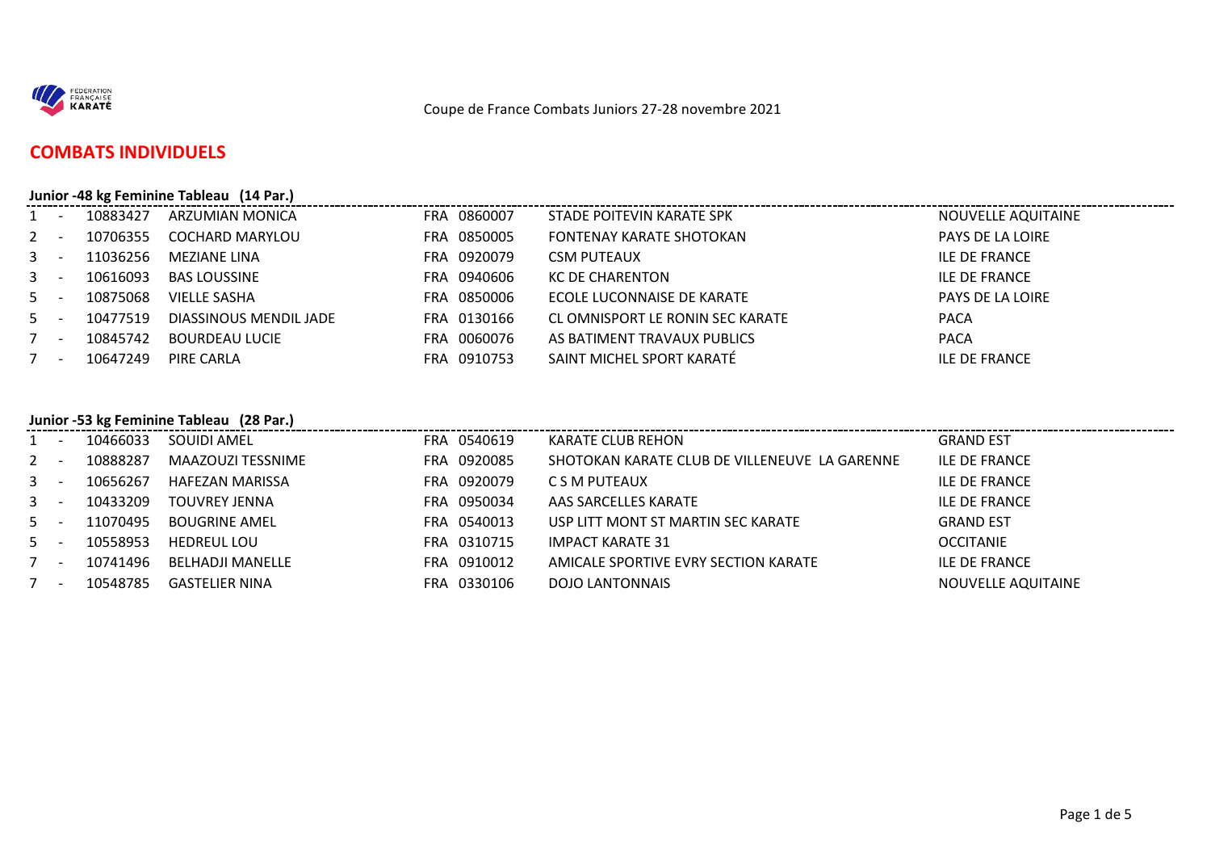

### **COMBATS INDIVIDUELS**

#### **Junior -48 kg Feminine Tableau (14 Par.)**

|       | $\sim 100$ km s $^{-1}$ | 10883427 | ARZUMIAN MONICA        | FRA 0860007 | STADE POITEVIN KARATE SPK        | NOUVELLE AQUITAINE |
|-------|-------------------------|----------|------------------------|-------------|----------------------------------|--------------------|
| $2 -$ |                         | 10706355 | <b>COCHARD MARYLOU</b> | FRA 0850005 | FONTENAY KARATE SHOTOKAN         | PAYS DE LA LOIRE   |
| $3 -$ |                         | 11036256 | MEZIANE LINA           | FRA 0920079 | <b>CSM PUTEAUX</b>               | ILE DE FRANCE      |
| $3 -$ |                         | 10616093 | <b>BAS LOUSSINE</b>    | FRA 0940606 | KC DE CHARENTON                  | ILE DE FRANCE      |
| $5 -$ |                         | 10875068 | <b>VIELLE SASHA</b>    | FRA 0850006 | ECOLE LUCONNAISE DE KARATE       | PAYS DE LA LOIRE   |
| $5 -$ |                         | 10477519 | DIASSINOUS MENDIL JADE | FRA 0130166 | CL OMNISPORT LE RONIN SEC KARATE | <b>PACA</b>        |
|       | $\sim$                  | 10845742 | <b>BOURDEAU LUCIE</b>  | FRA 0060076 | AS BATIMENT TRAVAUX PUBLICS      | <b>PACA</b>        |
|       | $\sim$                  | 10647249 | PIRE CARLA             | FRA 0910753 | SAINT MICHEL SPORT KARATÉ        | ILE DE FRANCE      |

#### **Junior -53 kg Feminine Tableau (28 Par.)**

| $1 -$ | 10466033 | SOUIDI AMEL          | FRA 0540619 | KARATE CLUB REHON                             | <b>GRAND EST</b>   |
|-------|----------|----------------------|-------------|-----------------------------------------------|--------------------|
| $2 -$ | 10888287 | MAAZOUZI TESSNIME    | FRA 0920085 | SHOTOKAN KARATE CLUB DE VILLENEUVE LA GARENNE | ILE DE FRANCE      |
| $3 -$ | 10656267 | HAFEZAN MARISSA      | FRA 0920079 | C S M PUTEAUX                                 | ILE DE FRANCE      |
| $3 -$ | 10433209 | <b>TOUVREY JENNA</b> | FRA 0950034 | AAS SARCELLES KARATE                          | ILE DE FRANCE      |
| $5 -$ | 11070495 | <b>BOUGRINE AMEL</b> | FRA 0540013 | USP LITT MONT ST MARTIN SEC KARATE            | <b>GRAND EST</b>   |
| $5 -$ | 10558953 | <b>HEDREUL LOU</b>   | FRA 0310715 | <b>IMPACT KARATE 31</b>                       | <b>OCCITANIE</b>   |
| $7 -$ | 10741496 | BELHADJI MANELLE     | FRA 0910012 | AMICALE SPORTIVE EVRY SECTION KARATE          | ILE DE FRANCE      |
| $7 -$ | 10548785 | GASTELIER NINA       | FRA 0330106 | DOJO LANTONNAIS                               | NOUVELLE AQUITAINE |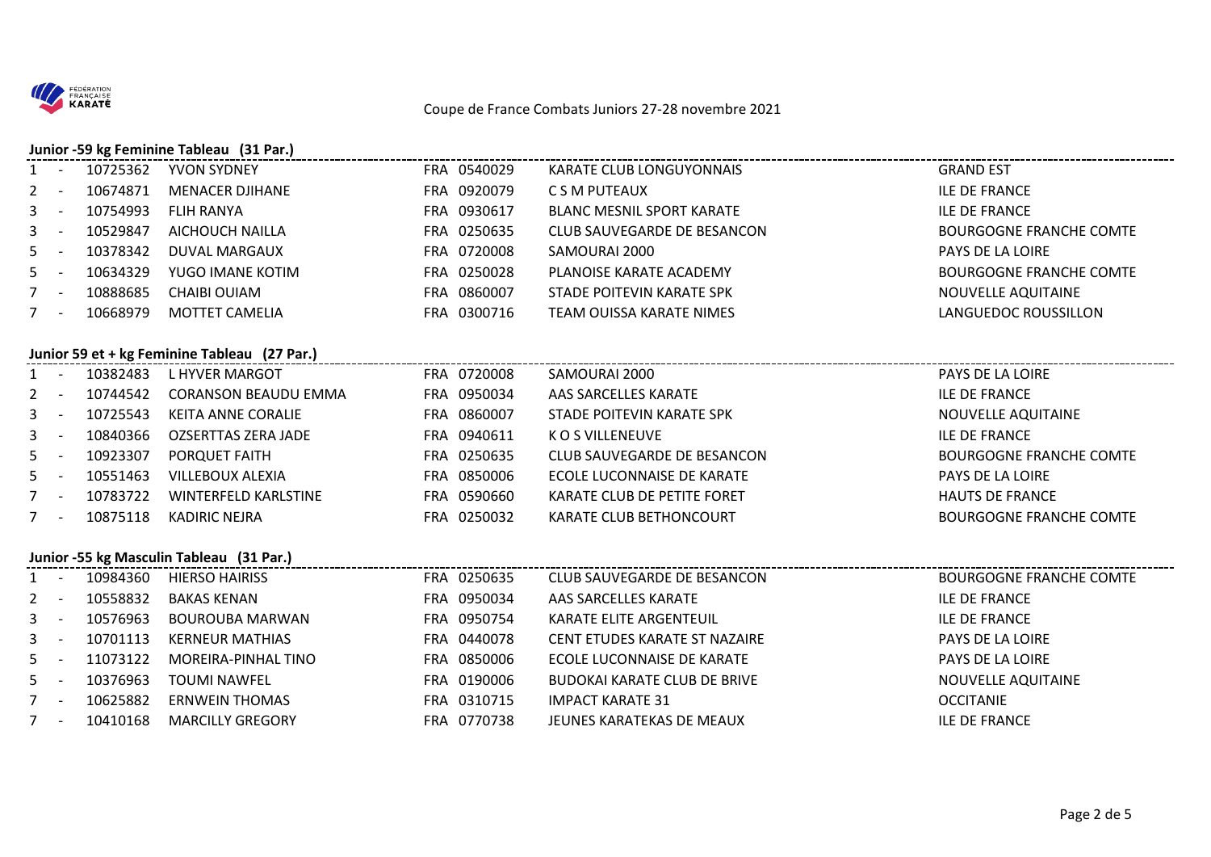

# **Junior -59 kg Feminine Tableau (31 Par.)**

. \_ \_ \_ \_ \_ \_ \_ \_ \_ \_ \_ \_ \_ \_ \_

| $1 -$ |                          | 10725362 | YVON SYDNEY            | FRA 0540029    | KARATE CLUB LONGUYONNAIS    | <b>GRAND EST</b>               |
|-------|--------------------------|----------|------------------------|----------------|-----------------------------|--------------------------------|
| $2 -$ |                          | 10674871 | <b>MENACER DJIHANE</b> | FRA 0920079    | C S M PUTEAUX               | ILE DE FRANCE                  |
| $3 -$ |                          | 10754993 | FLIH RANYA             | 0930617<br>FRA | BLANC MESNIL SPORT KARATE   | ILE DE FRANCE                  |
| $3 -$ |                          | 10529847 | AICHOUCH NAILLA        | FRA 0250635    | CLUB SAUVEGARDE DE BESANCON | <b>BOURGOGNE FRANCHE COMTE</b> |
| $5 -$ |                          | 10378342 | DUVAL MARGAUX          | FRA 0720008    | SAMOURAI 2000               | <b>PAYS DE LA LOIRE</b>        |
| $5 -$ |                          | 10634329 | YUGO IMANE KOTIM       | FRA 0250028    | PLANOISE KARATE ACADEMY     | <b>BOURGOGNE FRANCHE COMTE</b> |
| $7 -$ |                          | 10888685 | CHAIBI OUIAM           | 0860007<br>FRA | STADE POITEVIN KARATE SPK   | NOUVELLE AQUITAINE             |
|       | $\overline{\phantom{0}}$ | 10668979 | MOTTET CAMELIA         | FRA 0300716    | TEAM OUISSA KARATE NIMES    | LANGUEDOC ROUSSILLON           |
|       |                          |          |                        |                |                             |                                |

#### **Junior 59 et + kg Feminine Tableau (27 Par.)**

| $1 -$ | 10382483 | L HYVER MARGOT              | FRA 0720008     | SAMOURAI 2000               | PAYS DE LA LOIRE               |
|-------|----------|-----------------------------|-----------------|-----------------------------|--------------------------------|
| $2 -$ | 10744542 | <b>CORANSON BEAUDU EMMA</b> | FRA 0950034     | AAS SARCELLES KARATE        | ILE DE FRANCE                  |
| $3 -$ | 10725543 | KEITA ANNE CORALIE          | FRA 0860007     | STADE POITEVIN KARATE SPK   | NOUVELLE AQUITAINE             |
| $3 -$ | 10840366 | OZSERTTAS ZERA JADE         | FRA 0940611     | K O S VILLENEUVE            | ILE DE FRANCE                  |
| $5 -$ | 10923307 | PORQUET FAITH               | FRA 0250635     | CLUB SAUVEGARDE DE BESANCON | <b>BOURGOGNE FRANCHE COMTE</b> |
| $5 -$ | 10551463 | VILLEBOUX ALEXIA            | FRA 0850006     | ECOLE LUCONNAISE DE KARATE  | PAYS DE LA LOIRE               |
| $7 -$ | 10783722 | WINTERFELD KARLSTINE        | 0590660<br>FRA  | KARATE CLUB DE PETITE FORET | <b>HAUTS DE FRANCE</b>         |
| $7 -$ | 10875118 | KADIRIC NEJRA               | 0250032<br>FRA. | KARATE CLUB BETHONCOURT     | <b>BOURGOGNE FRANCHE COMTE</b> |

#### **Junior -55 kg Masculin Tableau (31 Par.)**

| $1 -$ | 10984360 | <b>HIERSO HAIRISS</b>   | FRA 0250635      | CLUB SAUVEGARDE DE BESANCON         | <b>BOURGOGNE FRANCHE COMTE</b> |
|-------|----------|-------------------------|------------------|-------------------------------------|--------------------------------|
| $2 -$ | 10558832 | BAKAS KENAN             | 0950034<br>FRA . | AAS SARCELLES KARATE                | ILE DE FRANCE                  |
| $3 -$ | 10576963 | BOUROUBA MARWAN         | FRA 0950754      | KARATE ELITE ARGENTEUIL             | ILE DE FRANCE                  |
| $3 -$ | 10701113 | KERNEUR MATHIAS         | FRA 0440078      | CENT ETUDES KARATE ST NAZAIRE       | PAYS DE LA LOIRE               |
| $5 -$ | 11073122 | MOREIRA-PINHAL TINO     | 0850006<br>FRA   | ECOLE LUCONNAISE DE KARATE          | PAYS DE LA LOIRE               |
| $5 -$ | 10376963 | <b>TOUMI NAWFEL</b>     | FRA 0190006      | <b>BUDOKAI KARATE CLUB DE BRIVE</b> | NOUVELLE AQUITAINE             |
| $7 -$ | 10625882 | <b>ERNWEIN THOMAS</b>   | FRA 0310715      | <b>IMPACT KARATE 31</b>             | <b>OCCITANIE</b>               |
| $7 -$ | 10410168 | <b>MARCILLY GREGORY</b> | FRA 0770738      | JEUNES KARATEKAS DE MEAUX           | ILE DE FRANCE                  |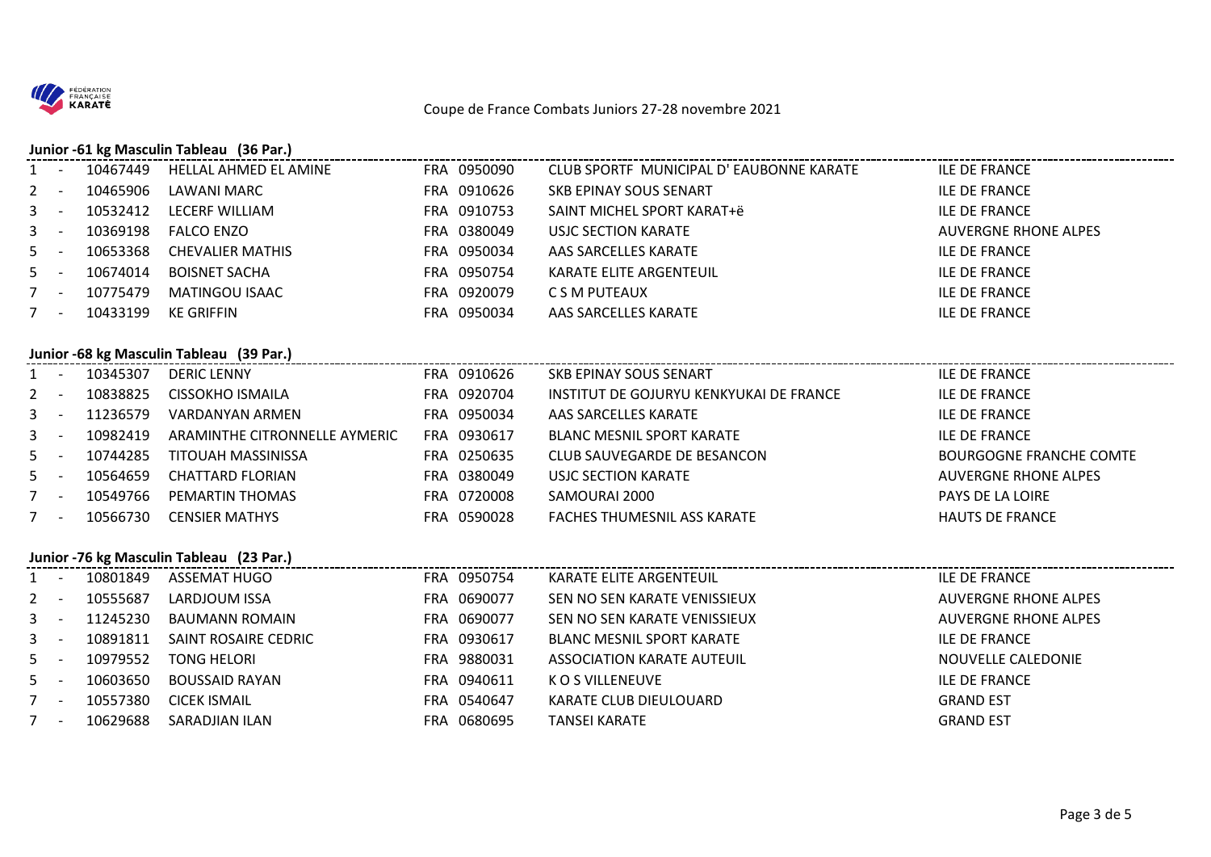

## **Junior -61 kg Masculin Tableau (36 Par.)**

| $1 -$ | 10467449 | HELLAL AHMED EL AMINE   | FRA 0950090 | CLUB SPORTF MUNICIPAL D'EAUBONNE KARATE | ILE DE FRANCE        |
|-------|----------|-------------------------|-------------|-----------------------------------------|----------------------|
| $2 -$ | 10465906 | LAWANI MARC             | FRA 0910626 | SKB EPINAY SOUS SENART                  | ILE DE FRANCE        |
| $3 -$ | 10532412 | LECERF WILLIAM          | FRA 0910753 | SAINT MICHEL SPORT KARAT+ë              | ILE DE FRANCE        |
| $3 -$ | 10369198 | FALCO ENZO              | FRA 0380049 | USJC SECTION KARATE                     | AUVERGNE RHONE ALPES |
| $5 -$ | 10653368 | <b>CHEVALIER MATHIS</b> | FRA 0950034 | AAS SARCELLES KARATE                    | ILE DE FRANCE        |
| $5 -$ | 10674014 | <b>BOISNET SACHA</b>    | FRA 0950754 | KARATE ELITE ARGENTEUIL                 | ILE DE FRANCE        |
| $7 -$ | 10775479 | MATINGOU ISAAC          | FRA 0920079 | C S M PUTEAUX                           | ILE DE FRANCE        |
| $7 -$ | 10433199 | KE GRIFFIN              | FRA 0950034 | AAS SARCELLES KARATE                    | ILE DE FRANCE        |
|       |          |                         |             |                                         |                      |

#### **Junior -68 kg Masculin Tableau (39 Par.)**

| $1 -$ | 10345307 | DERIC LENNY                   | FRA 0910626 | <b>SKB EPINAY SOUS SENART</b>           | ILE DE FRANCE           |
|-------|----------|-------------------------------|-------------|-----------------------------------------|-------------------------|
| $2 -$ | 10838825 | CISSOKHO ISMAILA              | FRA 0920704 | INSTITUT DE GOJURYU KENKYUKAI DE FRANCE | ILE DE FRANCE           |
| $3 -$ | 11236579 | VARDANYAN ARMEN               | FRA 0950034 | AAS SARCELLES KARATE                    | ILE DE FRANCE           |
| $3 -$ | 10982419 | ARAMINTHE CITRONNELLE AYMERIC | FRA 0930617 | BLANC MESNIL SPORT KARATE               | ILE DE FRANCE           |
| $5 -$ | 10744285 | TITOUAH MASSINISSA            | FRA 0250635 | CLUB SAUVEGARDE DE BESANCON             | BOURGOGNE FRANCHE COMTE |
| $5 -$ | 10564659 | <b>CHATTARD FLORIAN</b>       | FRA 0380049 | USJC SECTION KARATE                     | AUVERGNE RHONE ALPES    |
| $7 -$ | 10549766 | PEMARTIN THOMAS               | FRA 0720008 | SAMOURAI 2000                           | <b>PAYS DE LA LOIRE</b> |
| $7 -$ | 10566730 | <b>CENSIER MATHYS</b>         | FRA 0590028 | <b>FACHES THUMESNIL ASS KARATE</b>      | <b>HAUTS DE FRANCE</b>  |

#### **Junior -76 kg Masculin Tableau (23 Par.)**

| $1 -$ |                          | 10801849 | ASSEMAT HUGO         | FRA 0950754      | KARATE ELITE ARGENTEUIL      | ILE DE FRANCE               |
|-------|--------------------------|----------|----------------------|------------------|------------------------------|-----------------------------|
| $2 -$ |                          | 10555687 | LARDJOUM ISSA        | 0690077<br>FRA.  | SEN NO SEN KARATE VENISSIEUX | AUVERGNE RHONE ALPES        |
| 3     |                          | 11245230 | BAUMANN ROMAIN       | 0690077<br>FRA . | SEN NO SEN KARATE VENISSIEUX | <b>AUVERGNE RHONE ALPES</b> |
| $3 -$ |                          | 10891811 | SAINT ROSAIRE CEDRIC | 0930617<br>FRA   | BLANC MESNIL SPORT KARATE    | ILE DE FRANCE               |
| $5 -$ |                          | 10979552 | TONG HELORI          | 9880031<br>FRA.  | ASSOCIATION KARATE AUTEUIL   | NOUVELLE CALEDONIE          |
| $5 -$ |                          | 10603650 | BOUSSAID RAYAN       | 0940611<br>FRA   | K O S VILLENEUVE             | ILE DE FRANCE               |
| $7 -$ |                          | 10557380 | <b>CICEK ISMAIL</b>  | FRA 0540647      | KARATE CLUB DIEULOUARD       | <b>GRAND EST</b>            |
|       | $\overline{\phantom{a}}$ | 10629688 | SARADJIAN ILAN       | 0680695<br>FRA   | <b>TANSEI KARATE</b>         | <b>GRAND EST</b>            |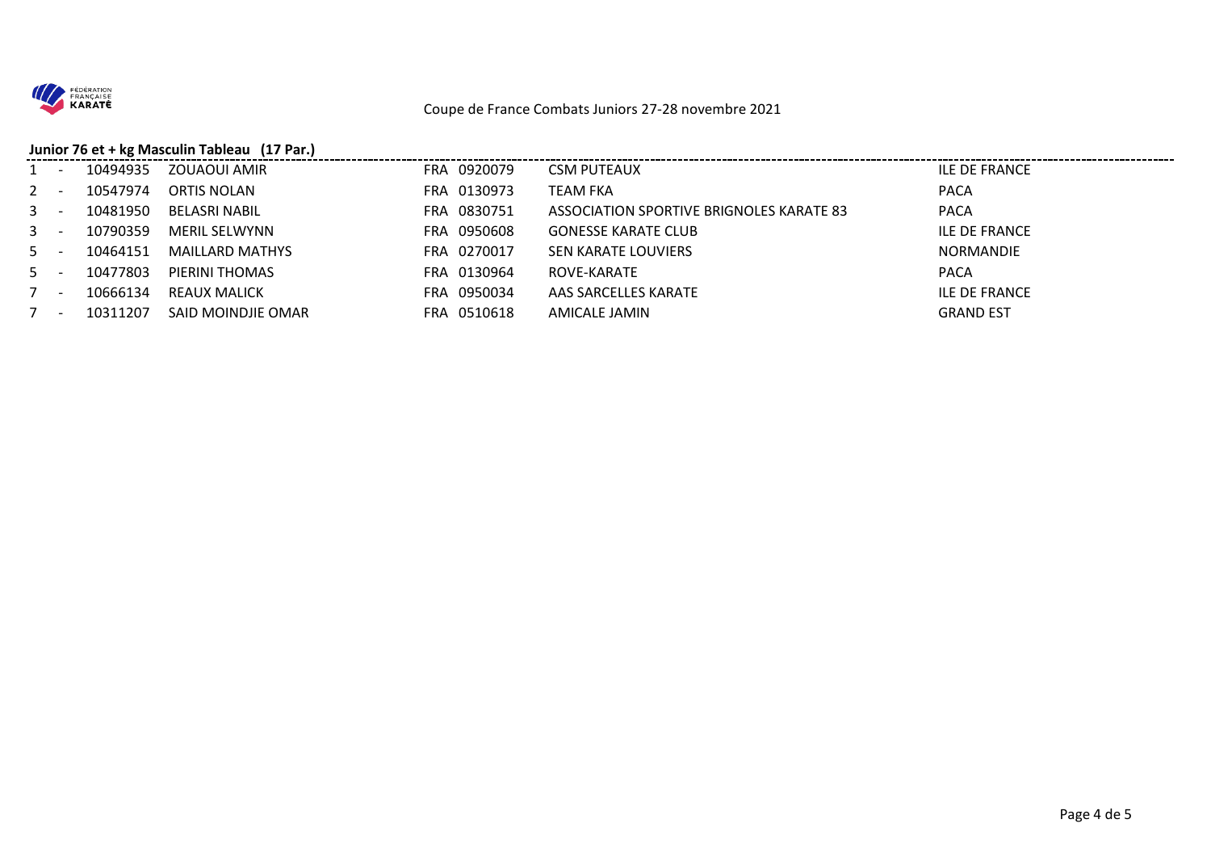

#### Coupe de France Combats Juniors 27-28 novembre 2021

## **Junior 76 et + kg Masculin Tableau (17 Par.)**

| $1 -$ | 10494935 | ZOUAOUI AMIR           | FRA 0920079 | <b>CSM PUTEAUX</b>                       | <b>ILE DE FRANCE</b> |
|-------|----------|------------------------|-------------|------------------------------------------|----------------------|
| $2 -$ | 10547974 | ORTIS NOLAN            | FRA 0130973 | <b>TEAM FKA</b>                          | <b>PACA</b>          |
| $3 -$ | 10481950 | BELASRI NABIL          | FRA 0830751 | ASSOCIATION SPORTIVE BRIGNOLES KARATE 83 | <b>PACA</b>          |
| $3 -$ | 10790359 | <b>MERIL SELWYNN</b>   | FRA 0950608 | <b>GONESSE KARATE CLUB</b>               | ILE DE FRANCE        |
| $5 -$ | 10464151 | <b>MAILLARD MATHYS</b> | FRA 0270017 | SEN KARATE LOUVIERS                      | <b>NORMANDIE</b>     |
| $5 -$ | 10477803 | PIERINI THOMAS         | FRA 0130964 | ROVE-KARATE                              | <b>PACA</b>          |
| $7 -$ | 10666134 | REAUX MALICK           | FRA 0950034 | AAS SARCELLES KARATE                     | ILE DE FRANCE        |
| 7 -   | 10311207 | SAID MOINDJIE OMAR     | FRA 0510618 | AMICALE JAMIN                            | <b>GRAND EST</b>     |